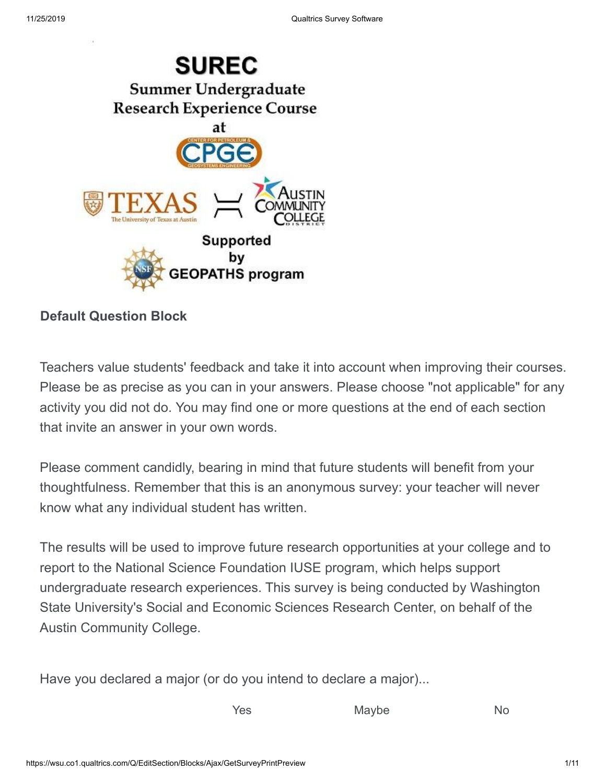

### **Default Question Block**

Teachers value students' feedback and take it into account when improving their courses. Please be as precise as you can in your answers. Please choose "not applicable" for any activity you did not do. You may find one or more questions at the end of each section that invite an answer in your own words.

Please comment candidly, bearing in mind that future students will benefit from your thoughtfulness. Remember that this is an anonymous survey: your teacher will never know what any individual student has written.

The results will be used to improve future research opportunities at your college and to report to the National Science Foundation IUSE program, which helps support undergraduate research experiences. This survey is being conducted by Washington State University's Social and Economic Sciences Research Center, on behalf of the Austin Community College.

Have you declared a major (or do you intend to declare a major)...

Yes Maybe No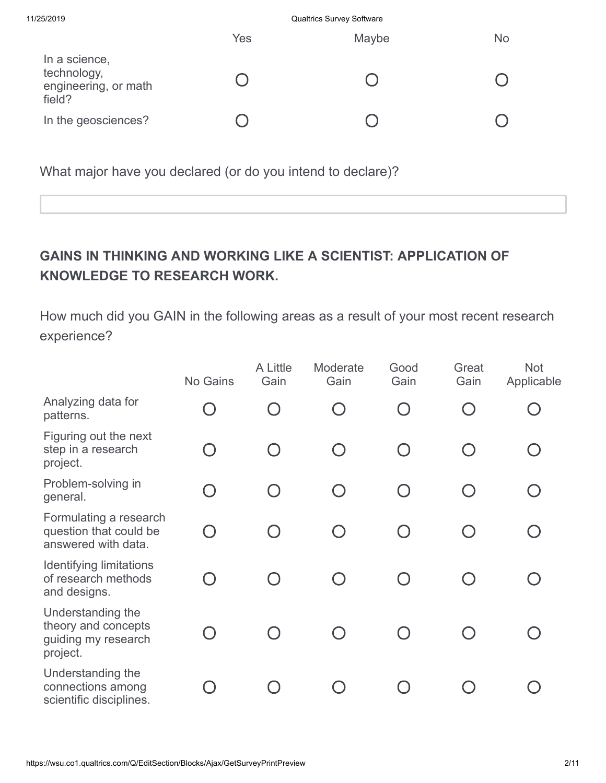| 11/25/2019                                                     | <b>Qualtrics Survey Software</b> |       |           |
|----------------------------------------------------------------|----------------------------------|-------|-----------|
|                                                                | Yes                              | Maybe | <b>No</b> |
| In a science,<br>technology,<br>engineering, or math<br>field? |                                  |       |           |
| In the geosciences?                                            |                                  |       |           |
|                                                                |                                  |       |           |

What major have you declared (or do you intend to declare)?

# **GAINS IN THINKING AND WORKING LIKE A SCIENTIST: APPLICATION OF KNOWLEDGE TO RESEARCH WORK.**

How much did you GAIN in the following areas as a result of your most recent research experience?

|                                                                             | No Gains  | A Little<br>Gain | Moderate<br>Gain | Good<br>Gain | Great<br>Gain | <b>Not</b><br>Applicable |
|-----------------------------------------------------------------------------|-----------|------------------|------------------|--------------|---------------|--------------------------|
| Analyzing data for<br>patterns.                                             |           |                  |                  |              |               |                          |
| Figuring out the next<br>step in a research<br>project.                     | $\bigcap$ |                  |                  |              |               |                          |
| Problem-solving in<br>general.                                              | $\bigcap$ |                  |                  |              |               |                          |
| Formulating a research<br>question that could be<br>answered with data.     |           |                  |                  |              |               |                          |
| <b>Identifying limitations</b><br>of research methods<br>and designs.       |           |                  |                  |              |               |                          |
| Understanding the<br>theory and concepts<br>guiding my research<br>project. |           |                  |                  |              |               |                          |
| Understanding the<br>connections among<br>scientific disciplines.           |           |                  |                  |              |               |                          |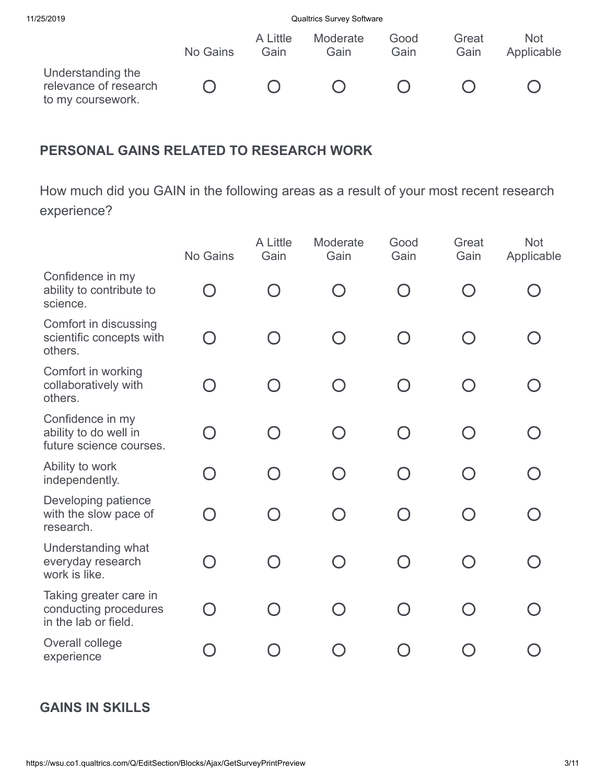| 11/25/2019                                                      |          |                  | <b>Qualtrics Survey Software</b> |              |               |                          |
|-----------------------------------------------------------------|----------|------------------|----------------------------------|--------------|---------------|--------------------------|
|                                                                 | No Gains | A Little<br>Gain | Moderate<br>Gain                 | Good<br>Gain | Great<br>Gain | <b>Not</b><br>Applicable |
| Understanding the<br>relevance of research<br>to my coursework. |          |                  |                                  |              |               |                          |

### **PERSONAL GAINS RELATED TO RESEARCH WORK**

How much did you GAIN in the following areas as a result of your most recent research experience?

|                                                                         | No Gains                                      | A Little<br>Gain | Moderate<br>Gain | Good<br>Gain                                  | Great<br>Gain | <b>Not</b><br>Applicable |
|-------------------------------------------------------------------------|-----------------------------------------------|------------------|------------------|-----------------------------------------------|---------------|--------------------------|
| Confidence in my<br>ability to contribute to<br>science.                | $\left( \begin{array}{c} \end{array} \right)$ |                  |                  | $\left( \begin{array}{c} \end{array} \right)$ |               |                          |
| Comfort in discussing<br>scientific concepts with<br>others.            | $\bigcap$                                     |                  | $(\ )$           | ∩                                             |               |                          |
| Comfort in working<br>collaboratively with<br>others.                   | ∩                                             |                  | $\bigcap$        | ∩                                             |               |                          |
| Confidence in my<br>ability to do well in<br>future science courses.    | ∩                                             |                  | $\bigcap$        | $\cap$                                        |               |                          |
| Ability to work<br>independently.                                       | $\bigcap$                                     |                  | $\bigcap$        | ∩                                             |               |                          |
| Developing patience<br>with the slow pace of<br>research.               | ∩                                             |                  | $\bigcap$        | ∩                                             |               |                          |
| Understanding what<br>everyday research<br>work is like.                | ∩                                             |                  | $\bigcap$        | ∩                                             |               |                          |
| Taking greater care in<br>conducting procedures<br>in the lab or field. | ∩                                             |                  |                  | $\bigcap$                                     |               |                          |
| Overall college<br>experience                                           |                                               |                  |                  |                                               |               |                          |

### **GAINS IN SKILLS**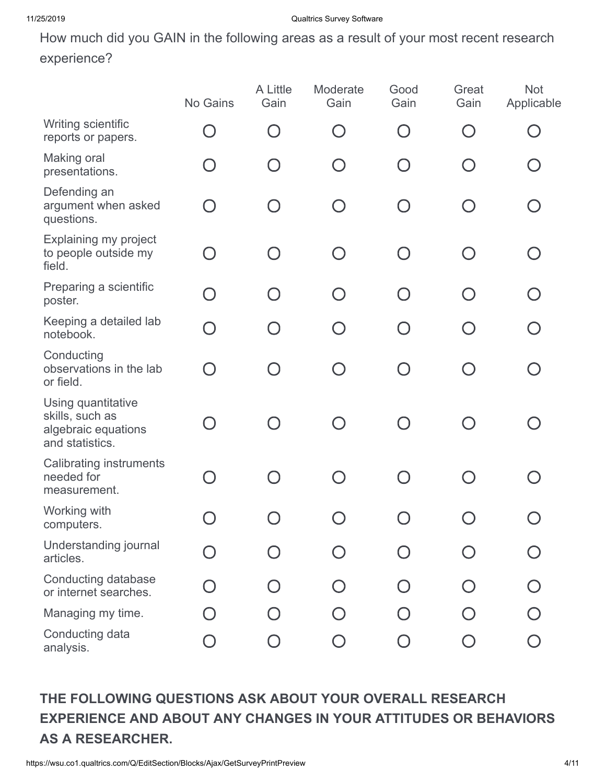How much did you GAIN in the following areas as a result of your most recent research experience?

|                                                                                 | No Gains   | A Little<br>Gain | Moderate<br>Gain | Good<br>Gain | Great<br>Gain                               | <b>Not</b><br>Applicable |
|---------------------------------------------------------------------------------|------------|------------------|------------------|--------------|---------------------------------------------|--------------------------|
| Writing scientific<br>reports or papers.                                        | $\bigcap$  |                  |                  | ∩            |                                             |                          |
| Making oral<br>presentations.                                                   | $\Box$     |                  |                  | $\bigcap$    |                                             |                          |
| Defending an<br>argument when asked<br>questions.                               | $\bigcap$  |                  |                  | $\bigcap$    |                                             |                          |
| Explaining my project<br>to people outside my<br>field.                         | $\bigcap$  |                  | $\bigcap$        | ∩            |                                             |                          |
| Preparing a scientific<br>poster.                                               | ∩          | $\cap$           | $\bigcap$        | ∩            | $\left(\begin{array}{c} \end{array}\right)$ |                          |
| Keeping a detailed lab<br>notebook.                                             | $\bigcirc$ | $\cap$           | $\bigcap$        | $\bigcap$    |                                             | $\bigcap$                |
| Conducting<br>observations in the lab<br>or field.                              | $\bigcap$  |                  |                  | ∩            |                                             |                          |
| Using quantitative<br>skills, such as<br>algebraic equations<br>and statistics. | O          | $\bigcap$        | $\bigcap$        | $\bigcap$    |                                             |                          |
| <b>Calibrating instruments</b><br>needed for<br>measurement.                    | ∩          |                  |                  | $\bigcap$    |                                             |                          |
| Working with<br>computers.                                                      |            |                  |                  |              |                                             |                          |
| Understanding journal<br>articles.                                              |            |                  |                  |              |                                             |                          |
| Conducting database<br>or internet searches.                                    |            |                  |                  |              |                                             |                          |
| Managing my time.                                                               |            |                  |                  |              |                                             |                          |
| Conducting data<br>analysis.                                                    |            |                  |                  |              |                                             |                          |

# **THE FOLLOWING QUESTIONS ASK ABOUT YOUR OVERALL RESEARCH EXPERIENCE AND ABOUT ANY CHANGES IN YOUR ATTITUDES OR BEHAVIORS AS A RESEARCHER.**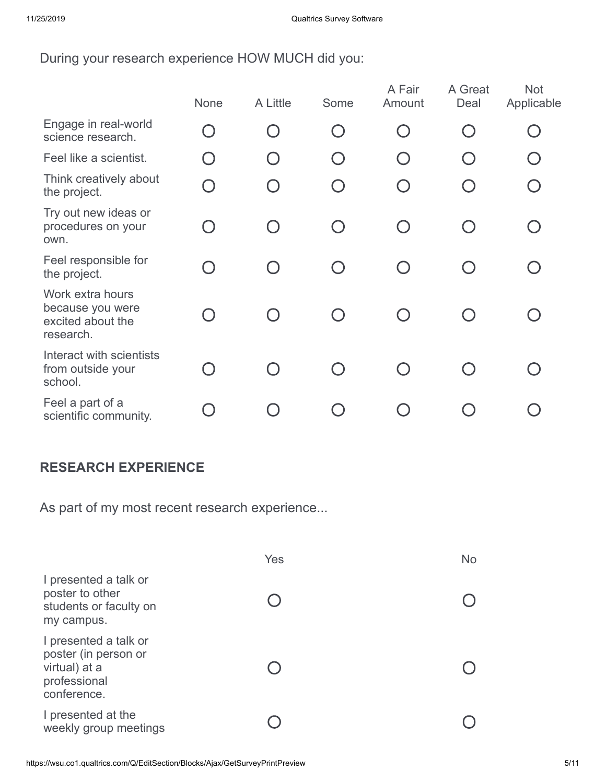During your research experience HOW MUCH did you:

|                                                                        | None                                          | A Little               | Some                                        | A Fair<br>Amount | A Great<br>Deal | <b>Not</b><br>Applicable |
|------------------------------------------------------------------------|-----------------------------------------------|------------------------|---------------------------------------------|------------------|-----------------|--------------------------|
| Engage in real-world<br>science research.                              | $\bigcap$                                     | $\left( \quad \right)$ | $\left(\begin{array}{c} \end{array}\right)$ | $\bigcap$        |                 |                          |
| Feel like a scientist.                                                 | $\bigcap$                                     |                        |                                             | $\bigcap$        |                 |                          |
| Think creatively about<br>the project.                                 | $\bigcirc$                                    |                        |                                             | O                |                 |                          |
| Try out new ideas or<br>procedures on your<br>own.                     | $\left( \begin{array}{c} \end{array} \right)$ |                        | $\cap$                                      | $\bigcap$        |                 |                          |
| Feel responsible for<br>the project.                                   | $\Box$                                        |                        |                                             |                  |                 |                          |
| Work extra hours<br>because you were<br>excited about the<br>research. |                                               |                        |                                             |                  |                 |                          |
| Interact with scientists<br>from outside your<br>school.               |                                               |                        |                                             |                  |                 |                          |
| Feel a part of a<br>scientific community.                              |                                               |                        |                                             |                  |                 |                          |

#### **RESEARCH EXPERIENCE**

As part of my most recent research experience...

|                                                                                               | Yes | <b>No</b> |
|-----------------------------------------------------------------------------------------------|-----|-----------|
| I presented a talk or<br>poster to other<br>students or faculty on<br>my campus.              |     |           |
| I presented a talk or<br>poster (in person or<br>virtual) at a<br>professional<br>conference. |     |           |
| I presented at the<br>weekly group meetings                                                   |     |           |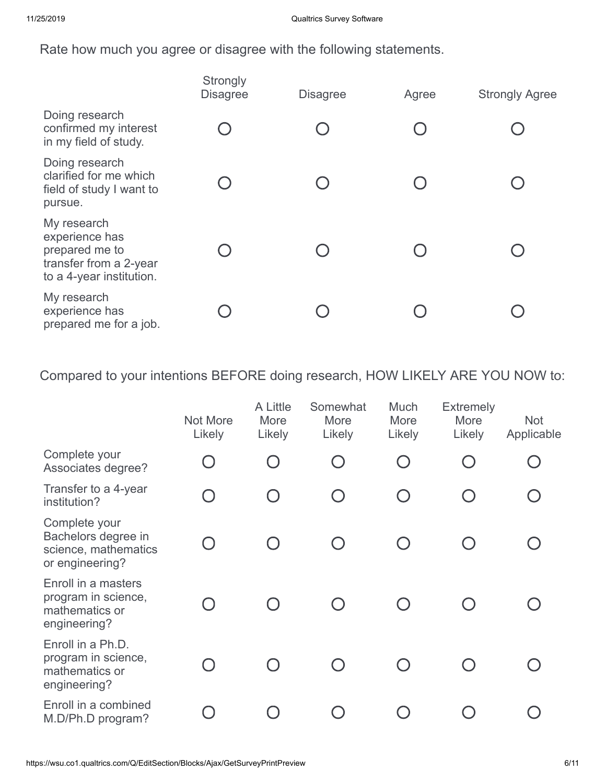Rate how much you agree or disagree with the following statements.

|                                                                                                       | Strongly<br><b>Disagree</b> | <b>Disagree</b> | Agree | <b>Strongly Agree</b> |
|-------------------------------------------------------------------------------------------------------|-----------------------------|-----------------|-------|-----------------------|
| Doing research<br>confirmed my interest<br>in my field of study.                                      |                             |                 |       |                       |
| Doing research<br>clarified for me which<br>field of study I want to<br>pursue.                       |                             |                 |       |                       |
| My research<br>experience has<br>prepared me to<br>transfer from a 2-year<br>to a 4-year institution. |                             |                 |       |                       |
| My research<br>experience has<br>prepared me for a job.                                               |                             |                 |       |                       |

Compared to your intentions BEFORE doing research, HOW LIKELY ARE YOU NOW to:

|                                                                                 | Not More<br>Likely | A Little<br>More<br>Likely | Somewhat<br>More<br>Likely                    | Much<br>More<br>Likely                                      | <b>Extremely</b><br>More<br>Likely | <b>Not</b><br>Applicable |
|---------------------------------------------------------------------------------|--------------------|----------------------------|-----------------------------------------------|-------------------------------------------------------------|------------------------------------|--------------------------|
| Complete your<br>Associates degree?                                             |                    |                            | $\left(\begin{array}{c} 1 \end{array}\right)$ | $\begin{array}{c} \begin{array}{c} \end{array} \end{array}$ |                                    |                          |
| Transfer to a 4-year<br>institution?                                            | $\Box$             |                            | $(\ )$                                        | $\bigcap$                                                   |                                    |                          |
| Complete your<br>Bachelors degree in<br>science, mathematics<br>or engineering? |                    |                            |                                               |                                                             |                                    |                          |
| Enroll in a masters<br>program in science,<br>mathematics or<br>engineering?    |                    |                            |                                               |                                                             |                                    |                          |
| Enroll in a Ph.D.<br>program in science,<br>mathematics or<br>engineering?      |                    |                            |                                               |                                                             |                                    |                          |
| Enroll in a combined<br>M.D/Ph.D program?                                       |                    |                            |                                               |                                                             |                                    |                          |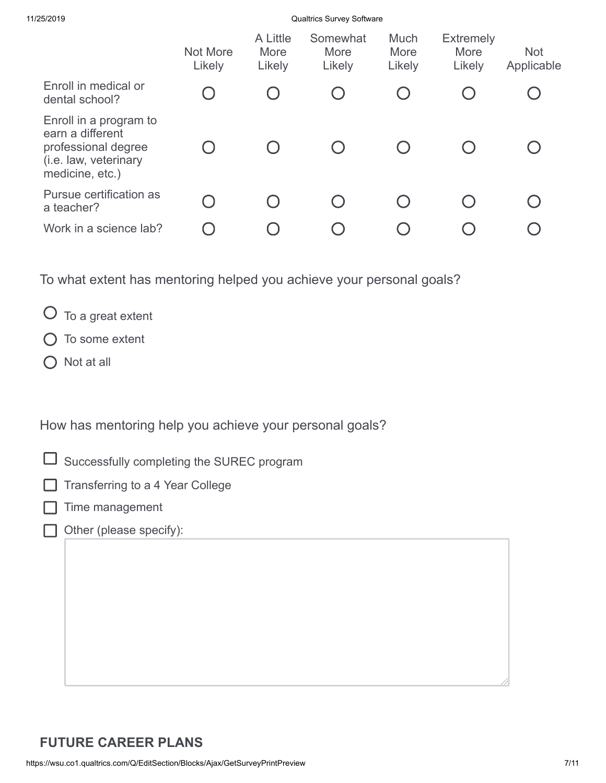11/25/2019 Qualtrics Survey Software

|                                                                                                               | Not More<br>Likely | A Little<br>More<br>Likely | Somewhat<br>More<br>Likely | Much<br>More<br>Likely | <b>Extremely</b><br>More<br>Likely | <b>Not</b><br>Applicable |
|---------------------------------------------------------------------------------------------------------------|--------------------|----------------------------|----------------------------|------------------------|------------------------------------|--------------------------|
| Enroll in medical or<br>dental school?                                                                        |                    |                            |                            |                        |                                    |                          |
| Enroll in a program to<br>earn a different<br>professional degree<br>(i.e. law, veterinary<br>medicine, etc.) |                    |                            |                            |                        |                                    |                          |
| Pursue certification as<br>a teacher?                                                                         |                    |                            |                            |                        |                                    |                          |
| Work in a science lab?                                                                                        |                    |                            |                            |                        |                                    |                          |

To what extent has mentoring helped you achieve your personal goals?

- $O$  To a great extent
- $O$  To some extent
- Not at all

How has mentoring help you achieve your personal goals?

- $\Box$ Successfully completing the SUREC program
- Transferring to a 4 Year College
	- Time management
	- Other (please specify):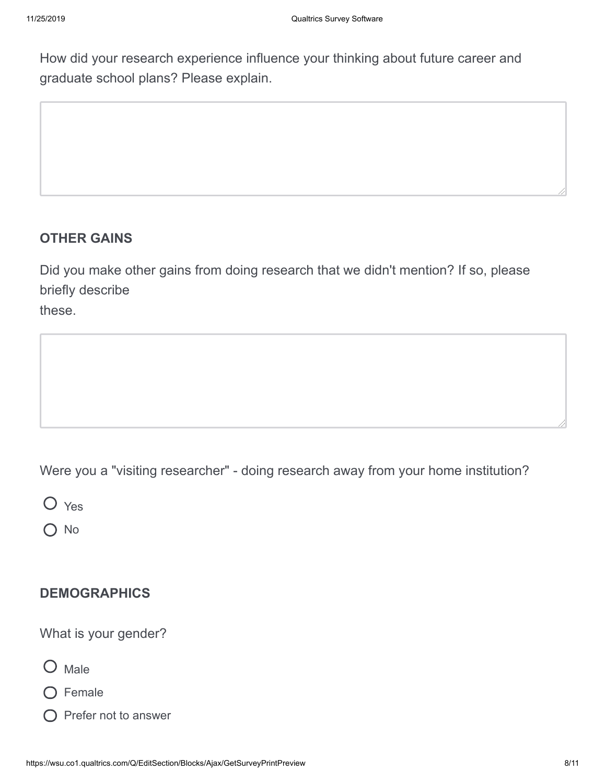How did your research experience influence your thinking about future career and graduate school plans? Please explain.

## **OTHER GAINS**

Did you make other gains from doing research that we didn't mention? If so, please briefly describe these.

Were you a "visiting researcher" - doing research away from your home institution?

O Yes

 $\bigcirc$  No

## **DEMOGRAPHICS**

What is your gender?



- O Female
- $\bigcirc$  Prefer not to answer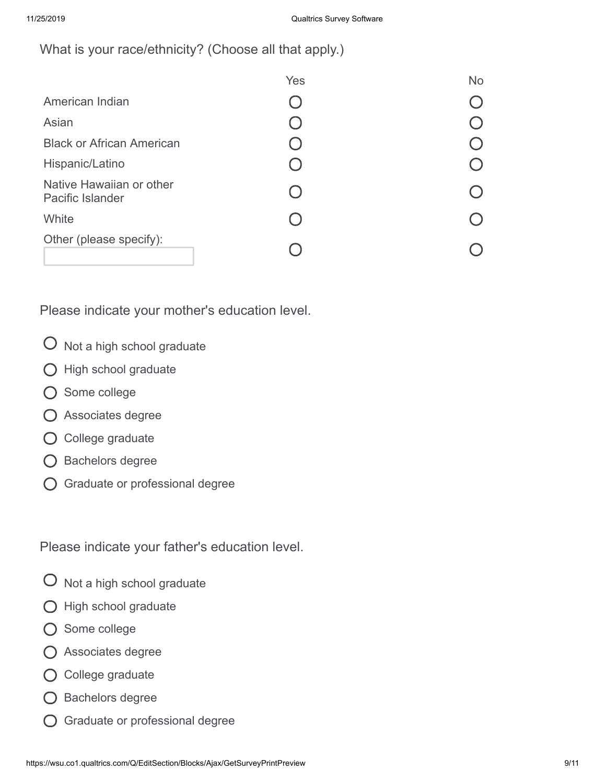What is your race/ethnicity? (Choose all that apply.)

|                                              | Yes    | <b>No</b> |
|----------------------------------------------|--------|-----------|
| American Indian                              |        |           |
| Asian                                        |        |           |
| <b>Black or African American</b>             |        |           |
| Hispanic/Latino                              |        |           |
| Native Hawaiian or other<br>Pacific Islander | $\Box$ |           |
| White                                        |        |           |
| Other (please specify):                      |        |           |

Please indicate your mother's education level.

- $O$  Not a high school graduate
- $\bigcirc$  High school graduate
- O Some college
- Associates degree
- $O$  College graduate
- Bachelors degree
- Graduate or professional degree

Please indicate your father's education level.

- $O$  Not a high school graduate
- $O$  High school graduate
- O Some college
- Associates degree
- $\bigcirc$  College graduate
- O Bachelors degree
- Graduate or professional degree